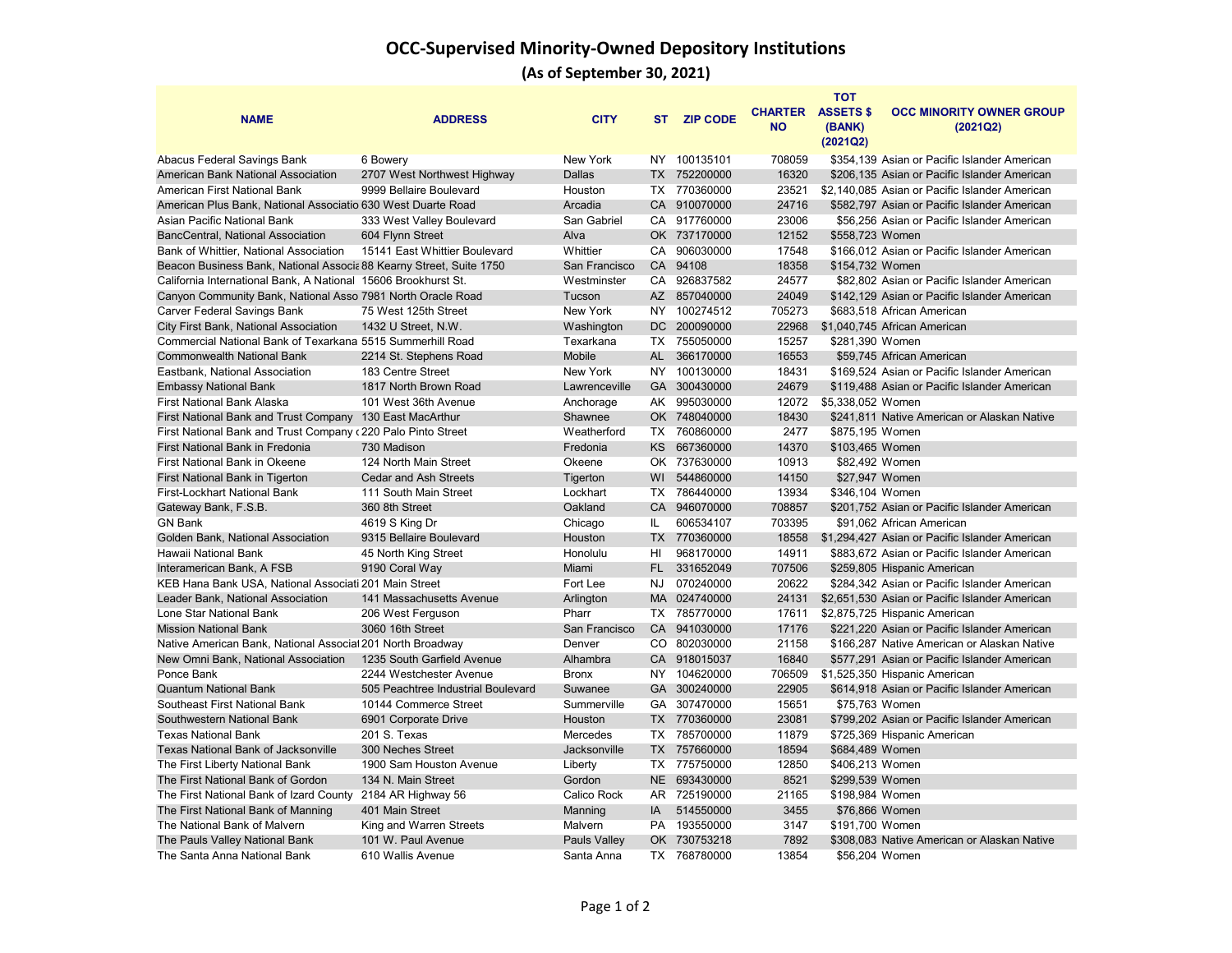## **OCC-Supervised Minority-Owned Depository Institutions**

**(As of September 30, 2021)**

| <b>NAME</b>                                                         | <b>ADDRESS</b>                     | <b>CITY</b>         | <b>ST</b> | <b>ZIP CODE</b> | <b>CHARTER</b><br><b>NO</b> | <b>TOT</b><br><b>ASSETS \$</b><br>(BANK)<br>(2021Q2) | <b>OCC MINORITY OWNER GROUP</b><br>(2021Q2)    |
|---------------------------------------------------------------------|------------------------------------|---------------------|-----------|-----------------|-----------------------------|------------------------------------------------------|------------------------------------------------|
| Abacus Federal Savings Bank                                         | 6 Bowery                           | New York            | NY        | 100135101       | 708059                      |                                                      | \$354,139 Asian or Pacific Islander American   |
| American Bank National Association                                  | 2707 West Northwest Highway        | <b>Dallas</b>       |           | TX 752200000    | 16320                       |                                                      | \$206,135 Asian or Pacific Islander American   |
| American First National Bank                                        | 9999 Bellaire Boulevard            | Houston             |           | TX 770360000    | 23521                       |                                                      | \$2,140,085 Asian or Pacific Islander American |
| American Plus Bank, National Associatio 630 West Duarte Road        |                                    | Arcadia             |           | CA 910070000    | 24716                       |                                                      | \$582,797 Asian or Pacific Islander American   |
| Asian Pacific National Bank                                         | 333 West Valley Boulevard          | San Gabriel         |           | CA 917760000    | 23006                       |                                                      | \$56,256 Asian or Pacific Islander American    |
| <b>BancCentral, National Association</b>                            | 604 Flynn Street                   | Alva                |           | OK 737170000    | 12152                       | \$558,723 Women                                      |                                                |
| Bank of Whittier, National Association                              | 15141 East Whittier Boulevard      | Whittier            |           | CA 906030000    | 17548                       |                                                      | \$166,012 Asian or Pacific Islander American   |
| Beacon Business Bank, National Associa 88 Kearny Street, Suite 1750 |                                    | San Francisco       |           | CA 94108        | 18358                       | \$154,732 Women                                      |                                                |
| California International Bank, A National 15606 Brookhurst St.      |                                    | Westminster         |           | CA 926837582    | 24577                       |                                                      | \$82,802 Asian or Pacific Islander American    |
| Canyon Community Bank, National Asso 7981 North Oracle Road         |                                    | Tucson              |           | AZ 857040000    | 24049                       |                                                      | \$142.129 Asian or Pacific Islander American   |
| Carver Federal Savings Bank                                         | 75 West 125th Street               | New York            |           | NY 100274512    | 705273                      |                                                      | \$683.518 African American                     |
| City First Bank, National Association                               | 1432 U Street, N.W.                | Washington          |           | DC 200090000    | 22968                       |                                                      | \$1,040,745 African American                   |
| Commercial National Bank of Texarkana 5515 Summerhill Road          |                                    | Texarkana           |           | TX 755050000    | 15257                       | \$281,390 Women                                      |                                                |
| <b>Commonwealth National Bank</b>                                   | 2214 St. Stephens Road             | Mobile              | AL        | 366170000       | 16553                       |                                                      | \$59,745 African American                      |
| Eastbank, National Association                                      | 183 Centre Street                  | New York            |           | NY 100130000    | 18431                       |                                                      | \$169,524 Asian or Pacific Islander American   |
| <b>Embassy National Bank</b>                                        | 1817 North Brown Road              | Lawrenceville       |           | GA 300430000    | 24679                       |                                                      | \$119,488 Asian or Pacific Islander American   |
| <b>First National Bank Alaska</b>                                   | 101 West 36th Avenue               | Anchorage           |           | AK 995030000    | 12072                       | \$5,338,052 Women                                    |                                                |
| First National Bank and Trust Company                               | 130 East MacArthur                 | Shawnee             |           | OK 748040000    | 18430                       |                                                      | \$241,811 Native American or Alaskan Native    |
| First National Bank and Trust Company (220 Palo Pinto Street        |                                    | Weatherford         |           | TX 760860000    | 2477                        | \$875,195 Women                                      |                                                |
| First National Bank in Fredonia                                     | 730 Madison                        | Fredonia            |           | KS 667360000    | 14370                       | \$103,465 Women                                      |                                                |
| First National Bank in Okeene                                       | 124 North Main Street              | Okeene              |           | OK 737630000    | 10913                       | \$82,492 Women                                       |                                                |
| First National Bank in Tigerton                                     | <b>Cedar and Ash Streets</b>       | Tigerton            |           | WI 544860000    | 14150                       | \$27,947 Women                                       |                                                |
| First-Lockhart National Bank                                        | 111 South Main Street              | Lockhart            |           | TX 786440000    | 13934                       | \$346,104 Women                                      |                                                |
| Gateway Bank, F.S.B.                                                | 360 8th Street                     | Oakland             |           | CA 946070000    | 708857                      |                                                      | \$201,752 Asian or Pacific Islander American   |
| <b>GN Bank</b>                                                      | 4619 S King Dr                     | Chicago             | IL.       | 606534107       | 703395                      |                                                      | \$91.062 African American                      |
| Golden Bank, National Association                                   | 9315 Bellaire Boulevard            | Houston             |           | TX 770360000    | 18558                       |                                                      | \$1,294,427 Asian or Pacific Islander American |
| Hawaii National Bank                                                | 45 North King Street               | Honolulu            | HL        | 968170000       | 14911                       |                                                      | \$883,672 Asian or Pacific Islander American   |
| Interamerican Bank, A FSB                                           | 9190 Coral Way                     | Miami               | FL.       | 331652049       | 707506                      |                                                      | \$259,805 Hispanic American                    |
| KEB Hana Bank USA, National Associati 201 Main Street               |                                    | Fort Lee            | NJ        | 070240000       | 20622                       |                                                      | \$284,342 Asian or Pacific Islander American   |
| Leader Bank, National Association                                   | 141 Massachusetts Avenue           | Arlington           |           | MA 024740000    | 24131                       |                                                      | \$2,651,530 Asian or Pacific Islander American |
| Lone Star National Bank                                             | 206 West Ferguson                  | Pharr               |           | TX 785770000    | 17611                       |                                                      | \$2,875,725 Hispanic American                  |
| <b>Mission National Bank</b>                                        | 3060 16th Street                   | San Francisco       |           | CA 941030000    | 17176                       |                                                      | \$221,220 Asian or Pacific Islander American   |
| Native American Bank, National Associal 201 North Broadway          |                                    | Denver              |           | CO 802030000    | 21158                       |                                                      | \$166,287 Native American or Alaskan Native    |
| New Omni Bank, National Association                                 | 1235 South Garfield Avenue         | Alhambra            |           | CA 918015037    | 16840                       |                                                      | \$577,291 Asian or Pacific Islander American   |
| Ponce Bank                                                          | 2244 Westchester Avenue            | <b>Bronx</b>        | NY.       | 104620000       | 706509                      |                                                      | \$1,525,350 Hispanic American                  |
| <b>Quantum National Bank</b>                                        | 505 Peachtree Industrial Boulevard | Suwanee             |           | GA 300240000    | 22905                       |                                                      | \$614,918 Asian or Pacific Islander American   |
| Southeast First National Bank                                       | 10144 Commerce Street              | Summerville         |           | GA 307470000    | 15651                       | \$75,763 Women                                       |                                                |
| Southwestern National Bank                                          | 6901 Corporate Drive               | <b>Houston</b>      |           | TX 770360000    | 23081                       |                                                      | \$799,202 Asian or Pacific Islander American   |
| <b>Texas National Bank</b>                                          | 201 S. Texas                       | <b>Mercedes</b>     |           | TX 785700000    | 11879                       |                                                      | \$725,369 Hispanic American                    |
| <b>Texas National Bank of Jacksonville</b>                          | 300 Neches Street                  | <b>Jacksonville</b> |           | TX 757660000    | 18594                       | \$684,489 Women                                      |                                                |
| The First Liberty National Bank                                     | 1900 Sam Houston Avenue            | Liberty             |           | TX 775750000    | 12850                       | \$406,213 Women                                      |                                                |
| The First National Bank of Gordon                                   | 134 N. Main Street                 | Gordon              |           | NE 693430000    | 8521                        | \$299,539 Women                                      |                                                |
| The First National Bank of Izard County                             | 2184 AR Highway 56                 | Calico Rock         |           | AR 725190000    | 21165                       | \$198,984 Women                                      |                                                |
| The First National Bank of Manning                                  | 401 Main Street                    | Manning             | IA        | 514550000       | 3455                        | \$76,866 Women                                       |                                                |
| The National Bank of Malvern                                        | King and Warren Streets            | Malvern             |           | PA 193550000    | 3147                        | \$191,700 Women                                      |                                                |
| The Pauls Valley National Bank                                      | 101 W. Paul Avenue                 | Pauls Valley        |           | OK 730753218    | 7892                        |                                                      | \$308,083 Native American or Alaskan Native    |
| The Santa Anna National Bank                                        | 610 Wallis Avenue                  | Santa Anna          |           | TX 768780000    | 13854                       | \$56,204 Women                                       |                                                |